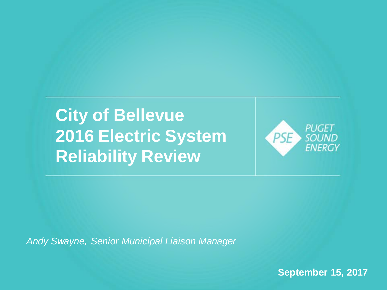#### **City of Bellevue 2016 Electric System Reliability Review**



*Andy Swayne, Senior Municipal Liaison Manager*

**September 15, 2017**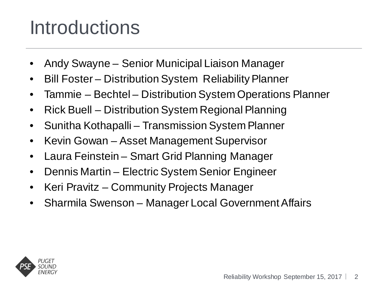### Introductions

- Andy Swayne Senior Municipal Liaison Manager
- Bill Foster Distribution System Reliability Planner
- Tammie Bechtel Distribution System Operations Planner
- Rick Buell Distribution System Regional Planning
- Sunitha Kothapalli Transmission System Planner
- Kevin Gowan Asset Management Supervisor
- Laura Feinstein Smart Grid Planning Manager
- Dennis Martin Electric System Senior Engineer
- Keri Pravitz Community Projects Manager
- Sharmila Swenson Manager Local Government Affairs

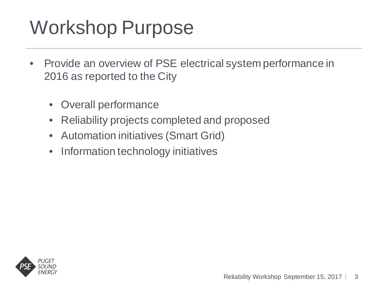# Workshop Purpose

- Provide an overview of PSE electrical system performance in 2016 as reported to the City
	- Overall performance
	- Reliability projects completed and proposed
	- Automation initiatives (Smart Grid)
	- Information technology initiatives

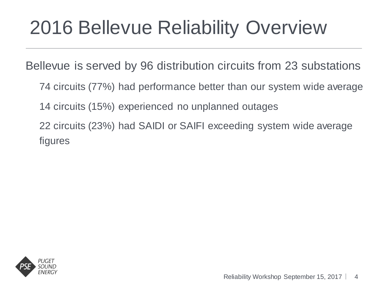Bellevue is served by 96 distribution circuits from 23 substations

74 circuits (77%) had performance better than our system wide average

14 circuits (15%) experienced no unplanned outages

22 circuits (23%) had SAIDI or SAIFI exceeding system wide average figures

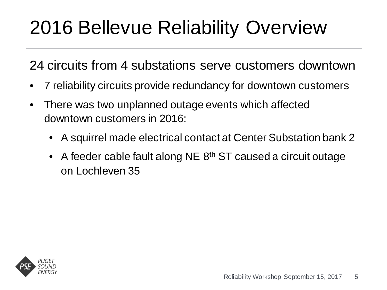24 circuits from 4 substations serve customers downtown

- 7 reliability circuits provide redundancy for downtown customers
- There was two unplanned outage events which affected downtown customers in 2016:
	- A squirrel made electrical contact at Center Substation bank 2
	- A feeder cable fault along NE 8<sup>th</sup> ST caused a circuit outage on Lochleven 35

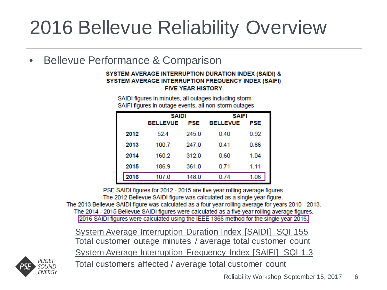Bellevue Performance & Comparison

#### SYSTEM AVERAGE INTERRUPTION DURATION INDEX (SAIDI) & SYSTEM AVERAGE INTERRUPTION FREQUENCY INDEX (SAIFI) **FIVE YEAR HISTORY**

SAIDI figures in minutes, all outages including storm SAIFI figures in outage events, all non-storm outages

|      | <b>SAIDI</b>    |       | <b>SAIFI</b>    |      |
|------|-----------------|-------|-----------------|------|
|      | <b>BELLEVUE</b> | PSE   | <b>BELLEVUE</b> | PSE  |
| 2012 | 52.4            | 245.0 | 0.40            | 0.92 |
| 2013 | 100.7           | 247.0 | 0.41            | 0.86 |
| 2014 | 160.2           | 3120  | 0.60            | 1.04 |
| 2015 | 186.9           | 361.0 | 0.71            | 1.11 |
| 2016 | 107.0           | 148.0 | 0.74            | 1.06 |

PSE SAIDI figures for 2012 - 2015 are five year rolling average figures.

The 2012 Bellevue SAIDI figure was calculated as a single year figure.

The 2013 Bellevue SAIDI figure was calculated as a four year rolling average for years 2010 - 2013. The 2014 - 2015 Bellevue SAIDI figures were calculated as a five year rolling average figures.

2016 SAIDI figures were calculated using the IEEE 1366 method for the single year 2016.

 System Average Interruption Duration Index [SAIDI] SQI 155 Total customer outage minutes / average total customer count System Average Interruption Frequency Index [SAIFI] SQI 1.3



Total customers affected / average total customer count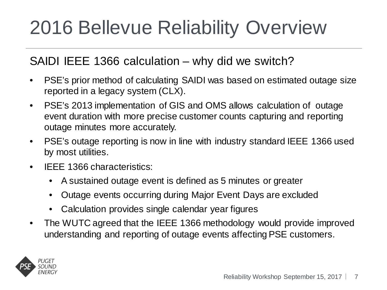#### SAIDI IEEE 1366 calculation – why did we switch?

- PSE's prior method of calculating SAIDI was based on estimated outage size reported in a legacy system (CLX).
- PSE's 2013 implementation of GIS and OMS allows calculation of outage event duration with more precise customer counts capturing and reporting outage minutes more accurately.
- PSE's outage reporting is now in line with industry standard IEEE 1366 used by most utilities.
- IEEE 1366 characteristics:
	- A sustained outage event is defined as 5 minutes or greater
	- Outage events occurring during Major Event Days are excluded
	- Calculation provides single calendar year figures
- The WUTC agreed that the IEEE 1366 methodology would provide improved understanding and reporting of outage events affecting PSE customers.

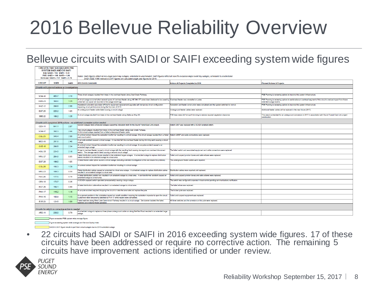#### Bellevue circuits with SAIDI or SAIFI exceeding system wide figures

| <b>CIRCUITS THAT EXCEED 2016 PSE</b><br><b>SYSTEM SAIDI AND/OR SAIFI</b><br>SQI: SAIDI = $155$ SAIFI = $1.30$<br>$PSE: SAIDI = 148 SAIFI = 1.06$<br>Bellevue: SAIDI = 107 SAIFI = 0.74 |                                                |              | Notes: SAIDI figures reflect all non-major event day outages, scheduled & unscheduled; SAIFI figures reflect all non-5% exclusion major event day outages, scheduled & unscheduled<br>SAIDI (IEEE 1366 method) & SAIFI figures are calculated single year figures for 2016. |                                                                                           |                                                                                                                                               |  |  |  |
|----------------------------------------------------------------------------------------------------------------------------------------------------------------------------------------|------------------------------------------------|--------------|-----------------------------------------------------------------------------------------------------------------------------------------------------------------------------------------------------------------------------------------------------------------------------|-------------------------------------------------------------------------------------------|-----------------------------------------------------------------------------------------------------------------------------------------------|--|--|--|
| <b>CIRCUIT</b>                                                                                                                                                                         | <b>SAIDI</b>                                   | <b>SAIFI</b> | 2016 Events Comments                                                                                                                                                                                                                                                        | <b>Actions &amp; Projects Completed in 2016</b>                                           | <b>Planned Actions &amp; Projects</b>                                                                                                         |  |  |  |
| Circuits with planned actions or investigations                                                                                                                                        |                                                |              |                                                                                                                                                                                                                                                                             |                                                                                           |                                                                                                                                               |  |  |  |
|                                                                                                                                                                                        |                                                |              |                                                                                                                                                                                                                                                                             |                                                                                           |                                                                                                                                               |  |  |  |
| <b>SOM-16</b>                                                                                                                                                                          | 405.7                                          | 3.18         | Three circuit outages resulted from trees in the overhead feeder along Coal Creek Parkway.                                                                                                                                                                                  |                                                                                           | PSE Planning is reviewing options to improve this system infrastructure.                                                                      |  |  |  |
| <b>KWH-25</b>                                                                                                                                                                          | 368.6                                          | 1.29         | A circuit outage occurred when several spans of overhead feeder along NE 24th ST came down (believed to be cased by Overhead feeder was reinstalled on poles.<br>a tree fall, but cause not recorded in the outage event log).                                              |                                                                                           | PSE Planning is reviewing options to sectionalize an overhead segment of this circuit to reduce impact from future<br>extended outage events. |  |  |  |
| <b>HAZ-12</b>                                                                                                                                                                          | 268.8                                          | 2.55         | Hazelwood substation was taken off line for equipment replacement/upgrades with temporary circuit configuration<br>impacting circuit performance during the Summer of 2016.                                                                                                 | Substation and feeder construction were completed and the system switched to normal.      | PSE Planning is reviewing options to improve this system infrastructure.                                                                      |  |  |  |
| <b>EGT-25</b>                                                                                                                                                                          | 225.2                                          | 1.05         | An underground feeder cable failed causing a circuit outage.                                                                                                                                                                                                                | Underground feeder cables were replaced.                                                  | Additional feeder cables will be replaced in the near future (2017).                                                                          |  |  |  |
| <b>SBE-22</b>                                                                                                                                                                          | 186.2                                          | 1.35         | A circuit outage resulted from trees in the overhead feeder along Bellevue Way SE                                                                                                                                                                                           | IPSE tree crews did 'hot spot' trimming to restore required vegetation clearance.         | This area is scheduled for an underground conversion in 2017 in associtation with Sound Transit East Link project<br>construction.            |  |  |  |
| Circuits with completed 2016 actions - no additional corrective action needed                                                                                                          |                                                |              |                                                                                                                                                                                                                                                                             |                                                                                           |                                                                                                                                               |  |  |  |
| <b>CFN-11</b>                                                                                                                                                                          | 8411                                           | 2.07         | Several outages were scheduled outages supporting relocation work for the Sound Transit East Link project.                                                                                                                                                                  | Switch U837 was replaced with a SCADA enabled switch.                                     |                                                                                                                                               |  |  |  |
| <b>SOM-17</b>                                                                                                                                                                          | 392.3                                          | 2.66         | Two circuit outages resulted from trees in the overhead feeder along Coal Creek Parkway.<br>A third circuit outage resulted from a failed underground feeder cable.                                                                                                         |                                                                                           |                                                                                                                                               |  |  |  |
| $COL-23$                                                                                                                                                                               | 345.4                                          | 2.00         | An animal contact tripped the substation tranformer resulting in a circuit outage. One circuit outage resulted from a failed Switch U2527 and cable connections were replaced.<br>pad-mount switch.                                                                         |                                                                                           |                                                                                                                                               |  |  |  |
| <b>MED-36</b>                                                                                                                                                                          | 281.8                                          | 2.40         | A car-pole accident caused a circuit outage. A tree limb fell into overhead feeder during trimming work causing a circuit<br>outage.                                                                                                                                        |                                                                                           |                                                                                                                                               |  |  |  |
| <b>OVE-15</b>                                                                                                                                                                          | 266.5                                          | 2.34         | An animal contact tripped the substation tranformer resulting in a circuit outage. A car-pole accident caused a an<br>extended large outage.                                                                                                                                |                                                                                           |                                                                                                                                               |  |  |  |
| <b>HOU-25</b>                                                                                                                                                                          | 224.0                                          | 2.18         | A tree in overhead feeder caused a circuit outage with the resulting fault causing damage to an overhead disconnect<br>switch. The damage switch failed causing a second circuit outage.                                                                                    | The failed switch and associated equipment and cable connections were replaced.           |                                                                                                                                               |  |  |  |
| <b>NRU-27</b>                                                                                                                                                                          | 204.8                                          | 0.85         | Failed distribution junction boxes resulted in two extedend larges outages. A scheduled outage to replace distribution<br>cables resulted in an extedend outage to a local area.                                                                                            | Failed and suspect junction boxes and cable elbows were replaced.                         |                                                                                                                                               |  |  |  |
| <b>EGT-28</b>                                                                                                                                                                          | 199.0                                          | 1.05         | A failed feeder cable splice caused a circuit outage (including extended investigation to find and isloate the problem).                                                                                                                                                    | The underground feeder cables were repaired.                                              |                                                                                                                                               |  |  |  |
| $COL-26$                                                                                                                                                                               | 193.3                                          | 1.39         | An animal contact tripped the substation tranformer resulting in a circuit outage.                                                                                                                                                                                          |                                                                                           |                                                                                                                                               |  |  |  |
| <b>NRU-23</b>                                                                                                                                                                          | 189.3                                          | 0.59         | Failed distribution cables casued an extended to a local area outage. A scheduled outage to replace distribution cables<br>resulted in an extedend outage to a local area.                                                                                                  | Distribution cables were repaired and replaced.                                           |                                                                                                                                               |  |  |  |
| <b>FAC-24</b>                                                                                                                                                                          | 177.5                                          | 0.78         | A failed distribution junction box resulted in an extedend outage to a local area. A car-transformer accident caused an<br>extended outage to a local area.                                                                                                                 | Failed and suspect junction boxes and cable elbows were replaced.                         |                                                                                                                                               |  |  |  |
| <b>CEN-13</b>                                                                                                                                                                          | 173.7                                          | 0.35         | A SCADA equiped switch operated (unexpectedly) causing a large outage.                                                                                                                                                                                                      | The switch was confoured to operate in local control pending communications verification. |                                                                                                                                               |  |  |  |
| <b>EGT-26</b>                                                                                                                                                                          | 156.1                                          | 0.89         | A failed distribution cable elbow resulted in an extedend outage to a local area.                                                                                                                                                                                           | The failed elbow was replaced.                                                            |                                                                                                                                               |  |  |  |
| <b>PHA-17</b>                                                                                                                                                                          | 148.2                                          | 1.16         | A car-pole accident required dropping the circuit to make the area safe and replace the pole.                                                                                                                                                                               | The broken pole was replaced.                                                             |                                                                                                                                               |  |  |  |
| <b>PHA-16</b>                                                                                                                                                                          | 100.9                                          | 1.15         | An euipment problem in the substation caused an unsafe condition requiring the substation inspector to open the circuit.<br>Customers were temporarily switched to PHA-17 while repairs were completed.                                                                     | Failed and suspect equipment was replaced.                                                |                                                                                                                                               |  |  |  |
| <b>EVE-23</b>                                                                                                                                                                          | 124.5                                          | 1.09         | Failed switches along West Lake Sammimish Parkway resulted in a circuit outage. Servicemen isolated the failed<br>switches and restored feede operation.                                                                                                                    | All three switches and the arrestors on this pole were replaced.                          |                                                                                                                                               |  |  |  |
| Circuits for which no corrective action is needed                                                                                                                                      |                                                |              |                                                                                                                                                                                                                                                                             |                                                                                           |                                                                                                                                               |  |  |  |
| <b>ARD-11</b>                                                                                                                                                                          | 230.0                                          | 0.79         | A scheduled outage to replace a three phase underground cable run along Bel-Red Road resulted in an extended large<br>outage.                                                                                                                                               |                                                                                           |                                                                                                                                               |  |  |  |
|                                                                                                                                                                                        | Flgure exceeded PSE system wide average flgure |              |                                                                                                                                                                                                                                                                             |                                                                                           |                                                                                                                                               |  |  |  |

Flaure exceeding system wide average and Service Quality Index SAIDI & SAIFI floure results in part from circuit outages due to 2016 substation outar

• 22 circuits had SAIDI or SAIFI in 2016 exceeding system wide figures. 17 of these circuits have been addressed or require no corrective action. The remaining 5 circuits have improvement actions identified or under review.

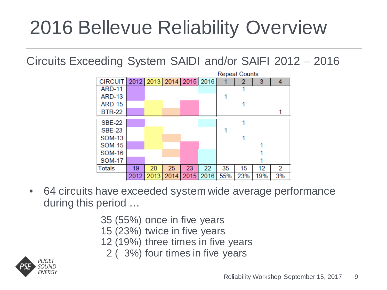Circuits Exceeding System SAIDI and/or SAIFI 2012 – 2016



- 64 circuits have exceeded system wide average performance during this period …
	- 35 (55%) once in five years
	- 15 (23%) twice in five years
	- 12 (19%) three times in five years
		- 2 ( 3%) four times in five years

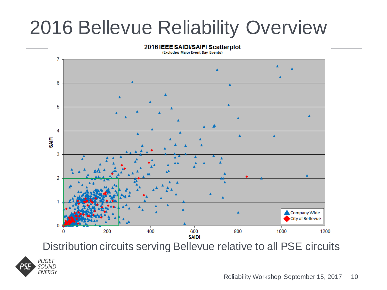

Distribution circuits serving Bellevue relative to all PSE circuits

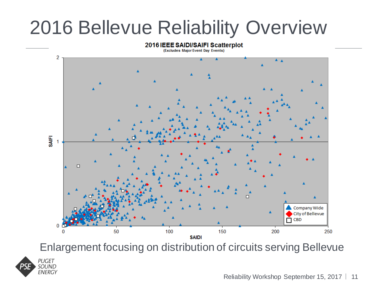#### 2016 IEEE SAIDI/SAIFI Scatterplot

(Excludes Major Event Day Events)



Enlargement focusing on distribution of circuits serving Bellevue



Reliability Workshop September 15, 2017 | 11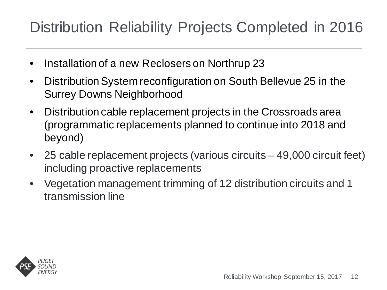#### Distribution Reliability Projects Completed in 2016

- Installation of a new Reclosers on Northrup 23
- Distribution System reconfiguration on South Bellevue 25 in the Surrey Downs Neighborhood
- Distribution cable replacement projects in the Crossroads area (programmatic replacements planned to continue into 2018 and beyond)
- 25 cable replacement projects (various circuits 49,000 circuit feet) including proactive replacements
- Vegetation management trimming of 12 distribution circuits and 1 transmission line

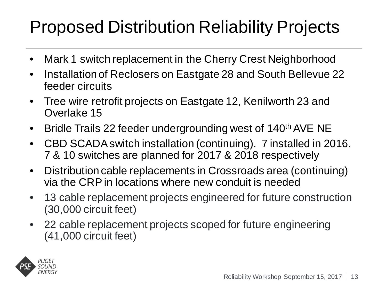#### Proposed Distribution Reliability Projects

- Mark 1 switch replacement in the Cherry Crest Neighborhood
- Installation of Reclosers on Eastgate 28 and South Bellevue 22 feeder circuits
- Tree wire retrofit projects on Eastgate 12, Kenilworth 23 and Overlake 15
- Bridle Trails 22 feeder undergrounding west of 140<sup>th</sup> AVE NE
- CBD SCADA switch installation (continuing). 7 installed in 2016. 7 & 10 switches are planned for 2017 & 2018 respectively
- Distribution cable replacements in Crossroads area (continuing) via the CRP in locations where new conduit is needed
- 13 cable replacement projects engineered for future construction (30,000 circuit feet)
- 22 cable replacement projects scoped for future engineering (41,000 circuit feet)

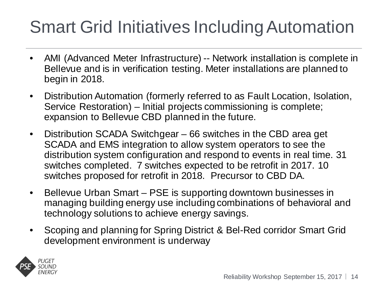#### Smart Grid Initiatives Including Automation

- AMI (Advanced Meter Infrastructure) -- Network installation is complete in Bellevue and is in verification testing. Meter installations are planned to begin in 2018.
- Distribution Automation (formerly referred to as Fault Location, Isolation, Service Restoration) – Initial projects commissioning is complete; expansion to Bellevue CBD planned in the future.
- Distribution SCADA Switchgear 66 switches in the CBD area get SCADA and EMS integration to allow system operators to see the distribution system configuration and respond to events in real time. 31 switches completed. 7 switches expected to be retrofit in 2017. 10 switches proposed for retrofit in 2018. Precursor to CBD DA.
- Bellevue Urban Smart PSE is supporting downtown businesses in managing building energy use including combinations of behavioral and technology solutions to achieve energy savings.
- Scoping and planning for Spring District & Bel-Red corridor Smart Grid development environment is underway

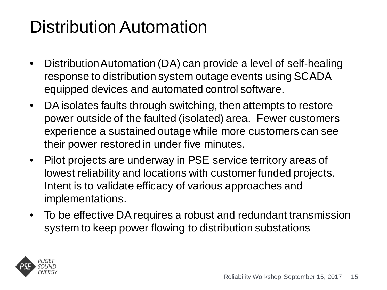#### Distribution Automation

- Distribution Automation (DA) can provide a level of self-healing response to distribution system outage events using SCADA equipped devices and automated control software.
- DA isolates faults through switching, then attempts to restore power outside of the faulted (isolated) area. Fewer customers experience a sustained outage while more customers can see their power restored in under five minutes.
- Pilot projects are underway in PSE service territory areas of lowest reliability and locations with customer funded projects. Intent is to validate efficacy of various approaches and implementations.
- To be effective DA requires a robust and redundant transmission system to keep power flowing to distribution substations

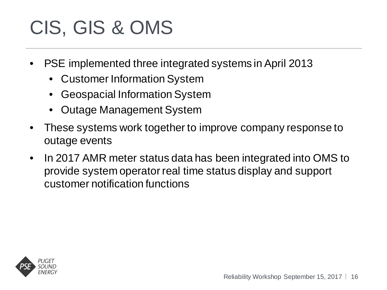# CIS, GIS & OMS

- PSE implemented three integrated systems in April 2013
	- Customer Information System
	- Geospacial Information System
	- Outage Management System
- These systems work together to improve company response to outage events
- In 2017 AMR meter status data has been integrated into OMS to provide system operator real time status display and support customer notification functions

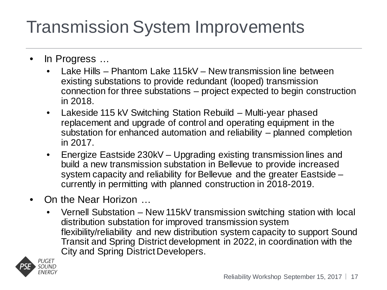#### Transmission System Improvements

- In Progress ...
	- Lake Hills Phantom Lake 115kV New transmission line between existing substations to provide redundant (looped) transmission connection for three substations – project expected to begin construction in 2018.
	- Lakeside 115 kV Switching Station Rebuild Multi-year phased replacement and upgrade of control and operating equipment in the substation for enhanced automation and reliability – planned completion in 2017.
	- Energize Eastside 230kV Upgrading existing transmission lines and build a new transmission substation in Bellevue to provide increased system capacity and reliability for Bellevue and the greater Eastside – currently in permitting with planned construction in 2018-2019.
- On the Near Horizon …
	- Vernell Substation New 115kV transmission switching station with local distribution substation for improved transmission system flexibility/reliability and new distribution system capacity to support Sound Transit and Spring District development in 2022, in coordination with the City and Spring District Developers.